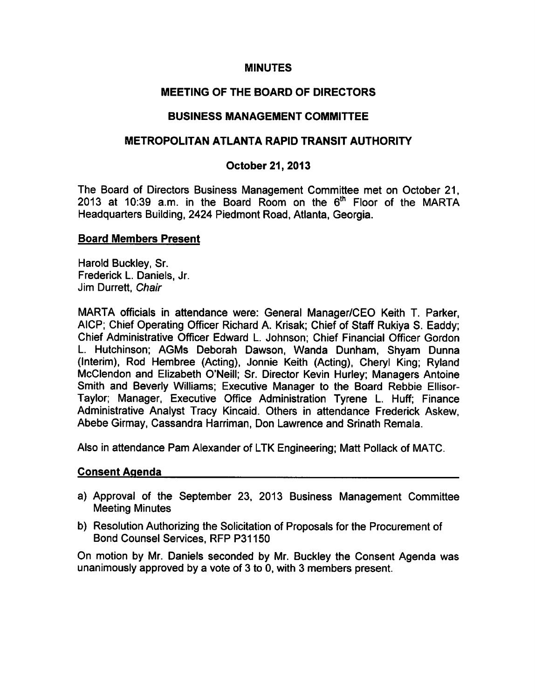## **MINUTES**

## MEETING OF THE BOARD OF DIRECTORS

## BUSINESS MANAGEMENT COMMITTEE

## METROPOLITAN ATLANTA RAPID TRANSIT AUTHORITY

## October 21, 2013

The Board of Directors Business Management Committee met on October 21, 2013 at 10:39 a.m. in the Board Room on the  $6<sup>th</sup>$  Floor of the MARTA Headquarters Building, 2424 Piedmont Road, Atlanta, Georgia.

### Board Members Present

Harold Buckley, Sr. Frederick L. Daniels, Jr. Jim Durrett, Chair

MARTA officials in attendance were: General Manager/CEO Keith T. Parker, AICP; Chief Operating Officer Richard A. Krisak; Chief of Staff Rukiya S. Eaddy; Chief Administrative Officer Edward L. Johnson; Chief Financial Officer Gordon L. Hutchinson; AGMs Deborah Dawson, Wanda Dunham, Shyam Dunna (Interim), Rod Hembree (Acting), Jonnie Keith (Acting), Cheryl King; Ryland McClendon and Elizabeth O'Neill; Sr. Director Kevin Hurley; Managers Antoine Smith and Beverly Williams; Executive Manager to the Board Rebbie Ellisor-Taylor; Manager, Executive Office Administration Tyrene L. Huff; Finance Administrative Analyst Tracy Kincaid. Others in attendance Frederick Askew, Abebe Girmay, Cassandra Harriman, Don Lawrence and Srinath Remala.

Also in attendance Pam Alexander of LTK Engineering; Matt Pollack of MATC.

### Consent Agenda

- a) Approval of the September 23, 2013 Business Management Committee Meeting Minutes
- b) Resolution Authorizing the Solicitation of Proposals for the Procurement of Bond Counsel Services, RFP P31150

On motion by Mr. Daniels seconded by Mr. Buckley the Consent Agenda was unanimously approved by a vote of  $3$  to  $0$ , with  $3$  members present.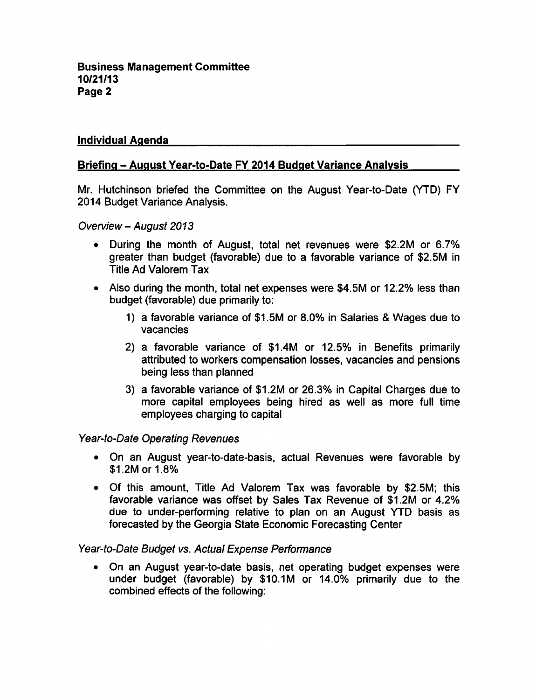## Individual Agenda

## Briefing - August Year-to-Date FY 2014 Budget Variance Analysis

Mr. Hutchinson briefed the Committee on the August Year-to-Date (YTD) FY 2014 Budget Variance Analysis.

Overview August 2013

- During the month of August, total net revenues were \$2.2M or 6.7% greater than budget (favorable) due to a favorable variance of \$2.5M in Title Ad Valorem Tax
- Also during the month, total net expenses were \$4.5M or 12.2% less than budget (favorable) due primarily to:
	- 1) a favorable variance of \$1.5M or 8.0% in Salaries & Wages due to vacancies
	- 2) a favorable variance of \$1.4M or 12.5% in Benefits primarily attributed to workers compensation losses, vacancies and pensions being less than planned
	- 3) a favorable variance of \$1.2M or 26.3% in Capital Charges due to more capital employees being hired as well as more full time employees charging to capital

### Year-to-Date Operating Revenues

- On an August year-to-date-basis, actual Revenues were favorable by \$1.2M or 1.8%
- Of this amount, Title Ad Valorem Tax was favorable by \$2.5M; this favorable variance was offset by Sales Tax Revenue of \$1 2M or 4.2% due to under-performing relative to plan on an August YTD basis as forecasted by the Georgia State Economic Forecasting Center

## Year-to-Date Budget vs. Actual Expense Performance

On an August year-to-date basis, net operating budget expenses were under budget (favorable) by \$10.1M or 14.0% primarily due to the combined effects of the following: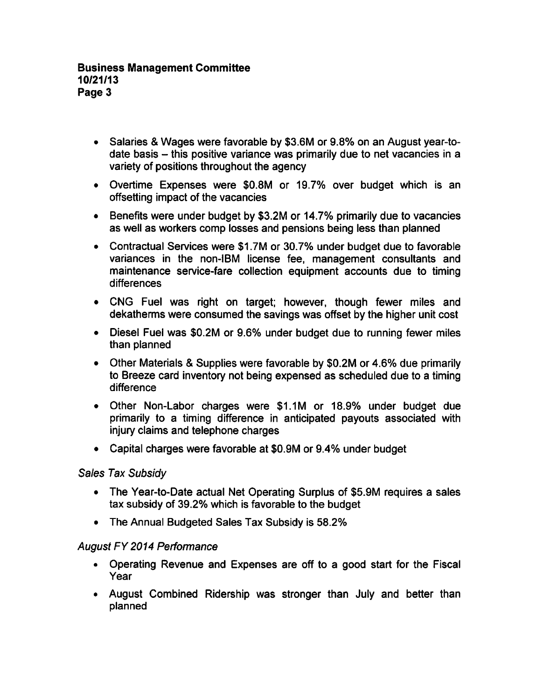- Salaries & Wages were favorable by \$3.6M or 9.8% on an August year-todate basis  $-$  this positive variance was primarily due to net vacancies in a variety of positions throughout the agency
- Overtime Expenses were \$0.8M or 19.7% over budget which is an offsetting impact of the vacancies
- Benefits were under budget by \$3.2M or 14.7% primarily due to vacancies as well as workers comp losses and pensions being less than planned
- Contractual Services were \$1.7M or 30.7% under budget due to favorable variances in the non-IBM license fee, management consultants and maintenance service-fare collection equipment accounts due to timing differences
- CNG Fuel was right on target; however, though fewer miles and dekatherms were consumed the savings was offset by the higher unit cost
- Diesel Fuel was \$0.2M or 9.6% under budget due to running fewer miles than planned
- Other Materials & Supplies were favorable by \$0.2M or 4.6% due primarily to Breeze card inventory not being expensed as scheduled due to a timing difference
- Other Non-Labor charges were \$1.1M or 18.9% under budget due primarily to a timing difference in anticipated payouts associated with injury claims and telephone charges
- Capital charges were favorable at \$0.9M or 9.4% under budget

## Sales Tax Subsidy

- The Year-to-Date actual Net Operating Surplus of \$5.9M requires a sales tax subsidy of 39.2% which is favorable to the budget
- The Annual Budgeted Sales Tax Subsidy is 58.2%

## August FY 2014 Performance

- Operating Revenue and Expenses are off to a good start for the Fiscal Year
- August Combined Ridership was stronger than July and better than planned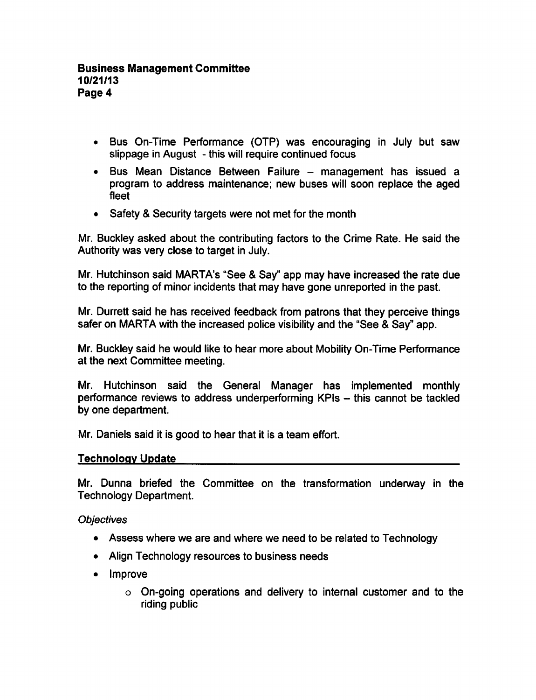- Bus On-Time Performance (OTP) was encouraging in July but saw slippage in August - this will require continued focus
- Bus Mean Distance Between Failure management has issued a program to address maintenance; new buses will soon replace the aged fleet
- Safety & Security targets were not met for the month

Mr. Buckley asked about the contributing factors to the Crime Rate. He said the Authority was very close to target in July.

Mr. Hutchinson said MARTA's "See & Say" app may have increased the rate due to the reporting of minor incidents that may have gone unreported in the past.

Mr. Durrett said he has received feedback from patrons that they perceive things safer on MARTA with the increased police visibility and the "See & Say" app.

Mr. Buckley said he would like to hear more about Mobility On-Time Performance at the next Committee meeting.

Mr. Hutchinson said the General Manager has implemented monthly performance reviews to address underperforming KPIs - this cannot be tackled by one department.

Mr. Daniels said it is good to hear that it is a team effort.

## Technology Update

Mr. Dunna briefed the Committee on the transformation underway in the Technology Department.

**Objectives** 

- Assess where we are and where we need to be related to Technology
- Align Technology resources to business needs
- Improve
	- On-going operations and delivery to internal customer and to the riding public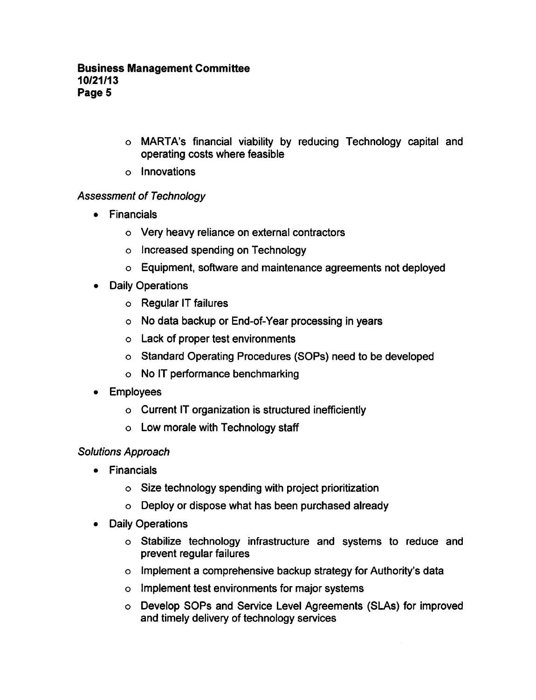- MARTA's financial viability by reducing Technology capital and operating costs where feasible
- Innovations

# Assessment of Technology

- Financials
	- Very heavy reliance on external contractors
	- o Increased spending on Technology
	- Equipment, software and maintenance agreements not deployed
- Daily Operations
	- Regular IT failures
	- No data backup or End-of-Year processing in years
	- Lack of proper test environments
	- o Standard Operating Procedures (SOPs) need to be developed
	- No IT performance benchmarking
- Employees
	- $\circ$  Current IT organization is structured inefficiently
	- Low morale with Technology staff

# Solutions Approach

- Financials
	- Size technology spending with project prioritization
	- Deploy or dispose what has been purchased already
- Daily Operations
	- Stabilize technology infrastructure and systems to reduce and prevent regular failures
	- $\circ$  Implement a comprehensive backup strategy for Authority's data
	- o Implement test environments for major systems
	- Develop SOPs and Service Level Agreements (SLAs) for improved and timely delivery of technology services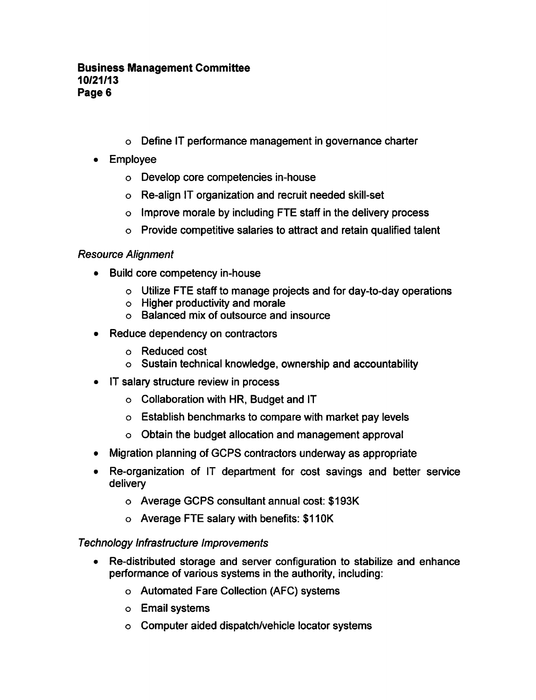- Define IT performance management in governance charter
- Employee
	- Develop core competencies in-house
	- Re-align IT organization and recruit needed skill-set
	- o Improve morale by including FTE staff in the delivery process
	- $\circ$  Provide competitive salaries to attract and retain qualified talent

# Resource Alignment

- Build core competency in-house
	- Utilize FTE staff to manage projects and for day-to-day operations
	- Higher productivity and morale
	- Balanced mix of outsource and insource
- Reduce dependency on contractors
	- Reduced cost
	- Sustain technical knowledge, ownership and accountability
- IT salary structure review in process
	- $\circ$  Collaboration with HR, Budget and IT
	- Establish benchmarks to compare with market pay levels
	- $\circ$  Obtain the budget allocation and management approval
- Migration planning of GCPS contractors underway as appropriate
- Re-organization of IT department for cost savings and better service delivery
	- Average GCPS consultant annual cost: \$193K
	- Average FTE salary with benefits: \$110K

## Technology Infrastructure Improvements

- Re-distributed storage and server configuration to stabilize and enhance performance of various systems in the authority, including:
	- Automated Fare Collection (AFC) systems
	- Email systems
	- Computer aided dispatch/vehicle locator systems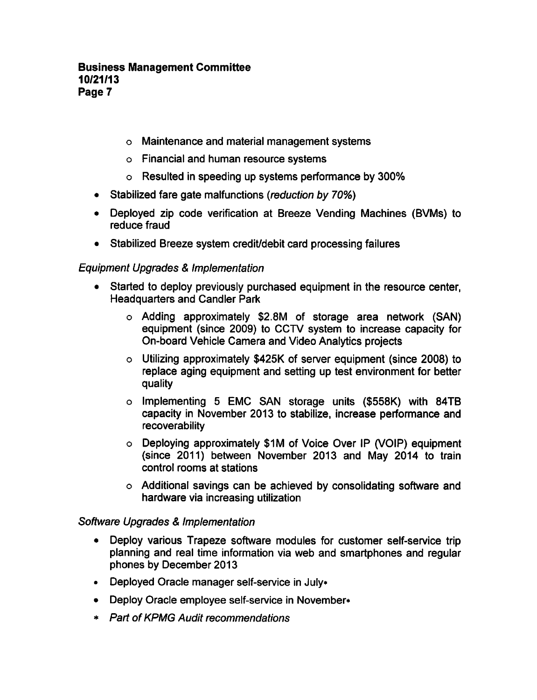### Business Management Committee 10/21/13 Page 7

- o Maintenance and material management systems
- Financial and human resource systems
- Resulted in speeding up systems performance by 300%
- Stabilized fare gate malfunctions (reduction by 70%)
- Deployed zip code verification at Breeze Vending Machines (BVMs) to reduce fraud
- Stabilized Breeze system credit/debit card processing failures

## Equipment Upgrades & Implementation

- Started to deploy previously purchased equipment in the resource center, Headquarters and Candler Park
	- Adding approximately \$2.8M of storage area network (SAN) equipment (since 2009) to CCTV system to increase capacity for On-board Vehicle Camera and Video Analytics projects
	- Utilizing approximately \$425K of server equipment (since 2008) to replace aging equipment and setting up test environment for better quality
	- o Implementing 5 EMC SAN storage units (\$558K) with 84TB capacity in November 2013 to stabilize, increase performance and recoverability
	- Deploying approximately \$1M of Voice Over IP (VOIP) equipment (since 2011) between November 2013 and May 2014 to train control rooms at stations
	- Additional savings can be achieved by consolidating software and hardware via increasing utilization

### Software Upgrades & Implementation

- Deploy various Trapeze software modules for customer self-service trip planning and real time information via web and smartphones and regular phones by December 2013
- Deployed Oracle manager self-service in July\*
- Deploy Oracle employee self-service in November\*
- Part of KPMG Audit recommendations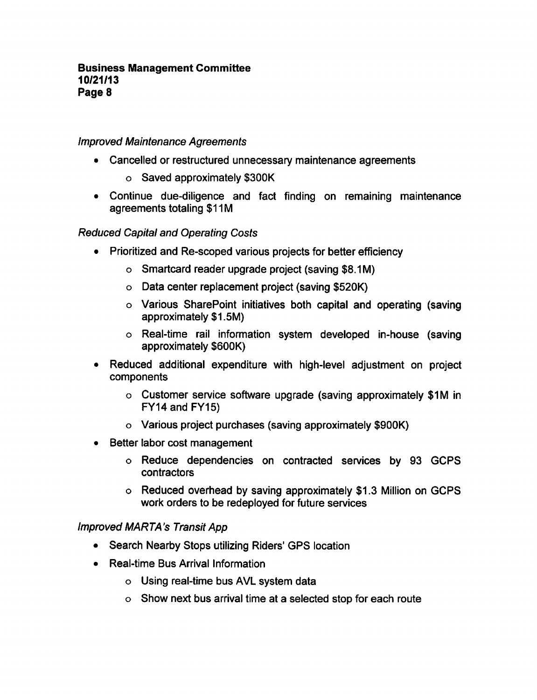## Improved Maintenance Agreements

- Cancelled or restructured unnecessary maintenance agreements
	- Saved approximately \$300K
- Continue due-diligence and fact finding on remaining maintenance agreements totaling \$11M

Reduced Capital and Operating Costs

- Prioritized and Re-scoped various projects for better efficiency
	- Smartcard reader upgrade project (saving \$8.1 M)
	- Data center replacement project (saving \$520K)
	- Various SharePoint initiatives both capital and operating (saving approximately \$1.5M)
	- Real-time rail information system developed in-house (saving approximately \$600K)
- Reduced additional expenditure with high-level adjustment on project components
	- Customer service software upgrade (saving approximately \$1M in FY14 and FY15)
	- Various project purchases (saving approximately \$900K)
- Better labor cost management
	- Reduce dependencies on contracted services by 93 GCPS contractors
	- Reduced overhead by saving approximately \$1.3 Million on GCPS work orders to be redeployed for future services

### ImprovedMARTA's Transit App

- Search Nearby Stops utilizing Riders' GPS location
- Real-time Bus Arrival Information
	- Using real-time bus AVL system data
	- $\circ$  Show next bus arrival time at a selected stop for each route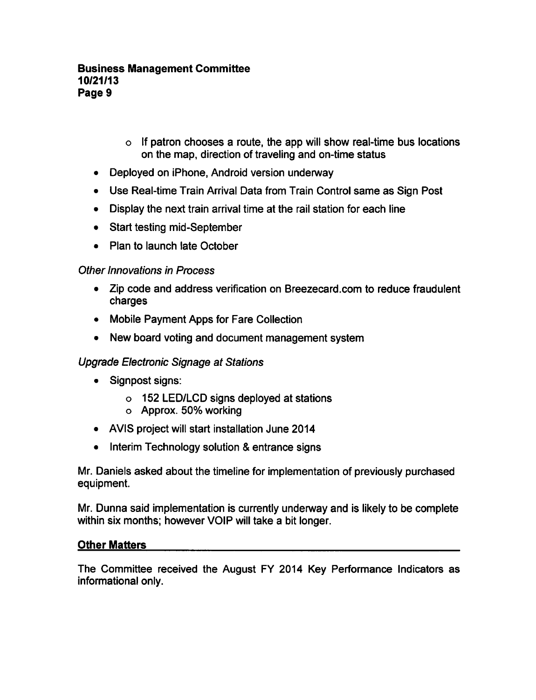- $\circ$  If patron chooses a route, the app will show real-time bus locations on the map, direction of traveling and on-time status
- Deployed on iPhone, Android version underway
- Use Real-time Train Arrival Data from Train Control same as Sign Post
- Display the next train arrival time at the rail station for each line
- Start testing mid-September
- Plan to launch late October

## Other Innovations in Process

- Zip code and address verification on Breezecard.com to reduce fraudulent charges
- Mobile Payment Apps for Fare Collection
- New board voting and document management system

## Upgrade Electronic Signage at Stations

- Signpost signs:
	- 152 LED/LCD signs deployed at stations
	- Approx. 50% working
- AVIS project will start installation June 2014
- $\bullet$  Interim Technology solution & entrance signs

Mr. Daniels asked about the timeline for implementation of previously purchased equipment.

Mr. Dunna said implementation is currently underway and is likely to be complete within six months; however VOIP will take a bit longer.

### Other Matters

The Committee received the August FY 2014 Key Performance Indicators as informational only.